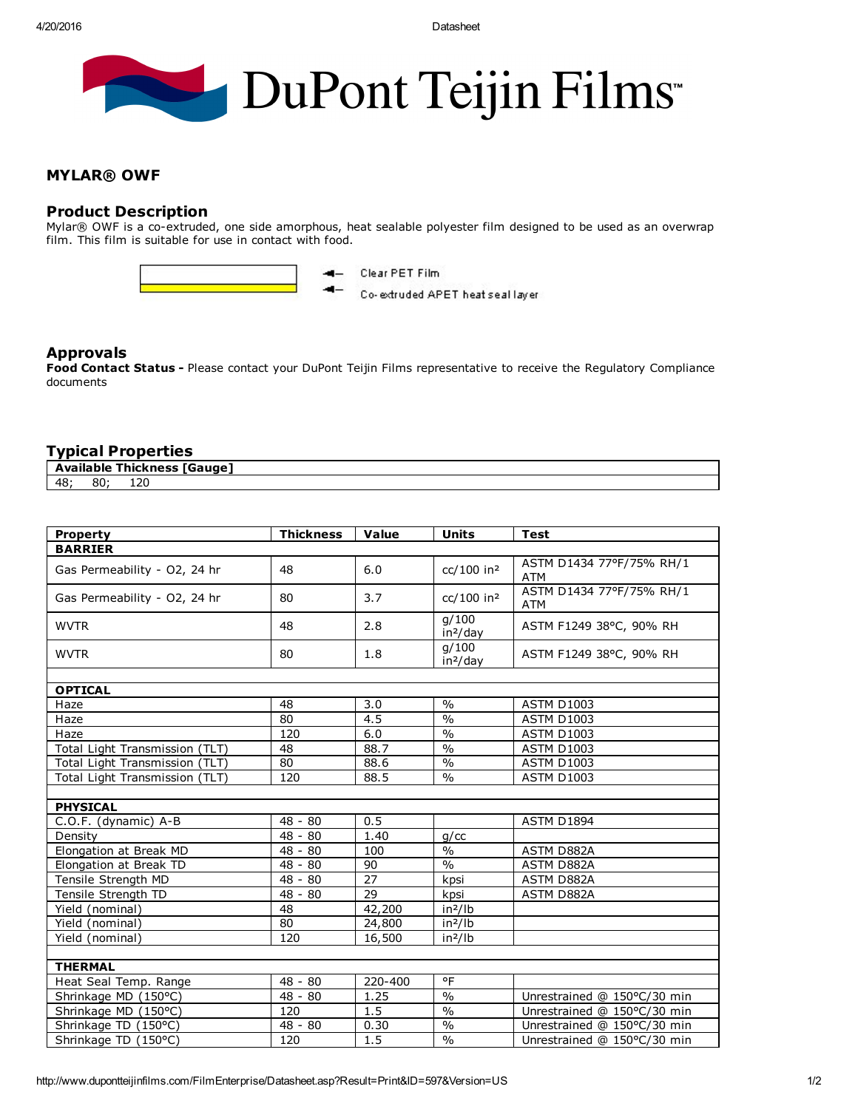# DuPont Teijin Films

#### MYLAR® OWF

#### Product Description

Mylar® OWF is a co-extruded, one side amorphous, heat sealable polyester film designed to be used as an overwrap film. This film is suitable for use in contact with food.



Clear PET Film 4-

Co-extruded APET heat seal layer

#### Approvals

Food Contact Status - Please contact your DuPont Teijin Films representative to receive the Regulatory Compliance documents

### Typical Properties

|    | Available | Thickness           | <b>TGauge</b> |
|----|-----------|---------------------|---------------|
| 48 | or<br>õU  | $\mathcal{L}$<br>ᆠᄼ |               |

| <b>Property</b>                | <b>Thickness</b> | Value   | <b>Units</b>                  | <b>Test</b>                            |  |  |  |  |
|--------------------------------|------------------|---------|-------------------------------|----------------------------------------|--|--|--|--|
| <b>BARRIER</b>                 |                  |         |                               |                                        |  |  |  |  |
| Gas Permeability - O2, 24 hr   | 48               | 6.0     | cc/100 in <sup>2</sup>        | ASTM D1434 77°F/75% RH/1<br><b>ATM</b> |  |  |  |  |
| Gas Permeability - O2, 24 hr   | 80               | 3.7     | cc/100 in <sup>2</sup>        | ASTM D1434 77°F/75% RH/1<br><b>ATM</b> |  |  |  |  |
| <b>WVTR</b>                    | 48               | 2.8     | q/100<br>in <sup>2</sup> /day | ASTM F1249 38°C, 90% RH                |  |  |  |  |
| <b>WVTR</b>                    | 80               | 1.8     | q/100<br>in <sup>2</sup> /day | ASTM F1249 38°C, 90% RH                |  |  |  |  |
|                                |                  |         |                               |                                        |  |  |  |  |
| <b>OPTICAL</b>                 |                  |         |                               |                                        |  |  |  |  |
| Haze                           | 48               | 3.0     | $\frac{0}{0}$                 | <b>ASTM D1003</b>                      |  |  |  |  |
| Haze                           | 80               | 4.5     | $\frac{0}{0}$                 | <b>ASTM D1003</b>                      |  |  |  |  |
| Haze                           | 120              | 6.0     | $\frac{0}{0}$                 | <b>ASTM D1003</b>                      |  |  |  |  |
| Total Light Transmission (TLT) | 48               | 88.7    | $\frac{0}{0}$                 | <b>ASTM D1003</b>                      |  |  |  |  |
| Total Light Transmission (TLT) | 80               | 88.6    | $\frac{0}{0}$                 | <b>ASTM D1003</b>                      |  |  |  |  |
| Total Light Transmission (TLT) | 120              | 88.5    | $\frac{0}{0}$                 | <b>ASTM D1003</b>                      |  |  |  |  |
|                                |                  |         |                               |                                        |  |  |  |  |
| <b>PHYSICAL</b>                |                  |         |                               |                                        |  |  |  |  |
| C.O.F. (dynamic) A-B           | $48 - 80$        | 0.5     |                               | ASTM D1894                             |  |  |  |  |
| Density                        | 48 - 80          | 1.40    | g/cc                          |                                        |  |  |  |  |
| Elongation at Break MD         | $48 - 80$        | 100     | $\frac{0}{0}$                 | ASTM D882A                             |  |  |  |  |
| Elongation at Break TD         | $48 - 80$        | 90      | $\frac{0}{0}$                 | <b>ASTM D882A</b>                      |  |  |  |  |
| Tensile Strength MD            | $48 - 80$        | 27      | kpsi                          | ASTM D882A                             |  |  |  |  |
| Tensile Strength TD            | 48 - 80          | 29      | kpsi                          | ASTM D882A                             |  |  |  |  |
| Yield (nominal)                | 48               | 42,200  | $in^2/lb$                     |                                        |  |  |  |  |
| Yield (nominal)                | 80               | 24,800  | $in^2/lb$                     |                                        |  |  |  |  |
| Yield (nominal)                | 120              | 16,500  | in <sup>2</sup> /lb           |                                        |  |  |  |  |
|                                |                  |         |                               |                                        |  |  |  |  |
| <b>THERMAL</b>                 |                  |         |                               |                                        |  |  |  |  |
| Heat Seal Temp. Range          | $48 - 80$        | 220-400 | °F                            |                                        |  |  |  |  |
| Shrinkage MD (150°C)           | 48 - 80          | 1.25    | $\frac{0}{0}$                 | Unrestrained @ 150°C/30 min            |  |  |  |  |
| Shrinkage MD (150°C)           | 120              | 1.5     | $\frac{0}{0}$                 | Unrestrained @ 150°C/30 min            |  |  |  |  |
| Shrinkage TD (150°C)           | $48 - 80$        | 0.30    | $\frac{0}{0}$                 | Unrestrained @ 150°C/30 min            |  |  |  |  |
| Shrinkage TD (150°C)           | 120              | 1.5     | $\frac{0}{0}$                 | Unrestrained @ 150°C/30 min            |  |  |  |  |